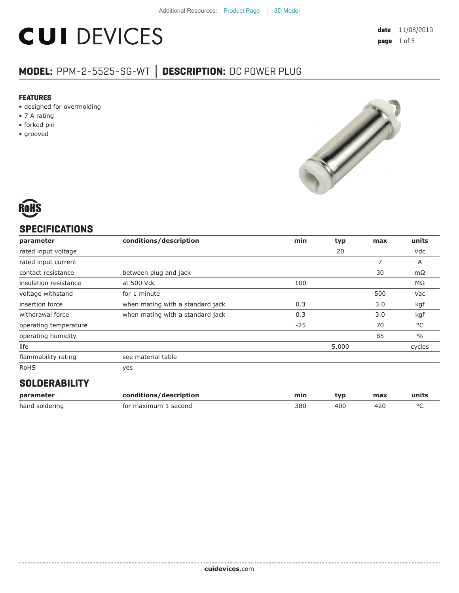# **CUI DEVICES**

# **MODEL:** PPM-2-5525-SG-WT **│ DESCRIPTION:** DC POWER PLUG

#### **FEATURES**

- designed for overmolding
- 7 A rating
- forked pin
- grooved





## **SPECIFICATIONS**

| parameter             | conditions/description           | min   | typ   | max | units         |
|-----------------------|----------------------------------|-------|-------|-----|---------------|
| rated input voltage   |                                  |       | 20    |     | Vdc           |
| rated input current   |                                  |       |       | 7   | A             |
| contact resistance    | between plug and jack            |       |       | 30  | $m\Omega$     |
| insulation resistance | at 500 Vdc                       | 100   |       |     | ΜΩ            |
| voltage withstand     | for 1 minute                     |       |       | 500 | Vac           |
| insertion force       | when mating with a standard jack | 0.3   |       | 3.0 | kgf           |
| withdrawal force      | when mating with a standard jack | 0.3   |       | 3.0 | kgf           |
| operating temperature |                                  | $-25$ |       | 70  | °C            |
| operating humidity    |                                  |       |       | 85  | $\frac{0}{0}$ |
| life                  |                                  |       | 5,000 |     | cycles        |
| flammability rating   | see material table               |       |       |     |               |
| <b>RoHS</b>           | yes                              |       |       |     |               |
| <b>OOLDEDADILITY</b>  |                                  |       |       |     |               |

#### **SOLDERABILITY**

| parameter      | conditions/description | mir. | tvr | max | units |
|----------------|------------------------|------|-----|-----|-------|
| hand soldering | for maximum<br>second  | 380  | 40C |     |       |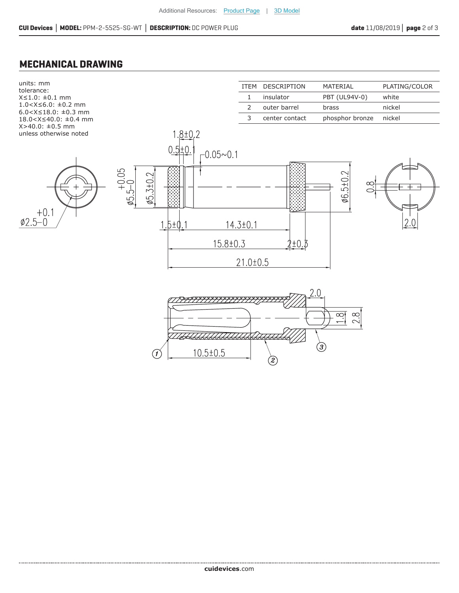### **MECHANICAL DRAWING**